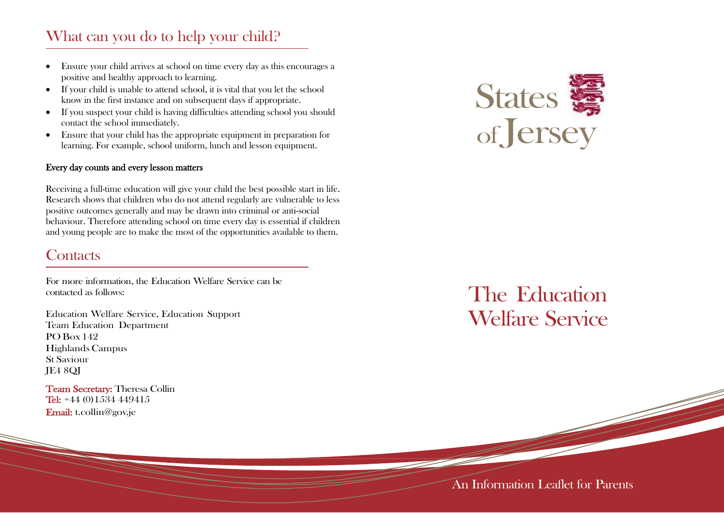## What can you do to help your child?

- Ensure your child arrives at school on time every day as this encourages a positive and healthy approach to learning.
- If your child is unable to attend school, it is vital that you let the school know in the first instance and on subsequent days if appropriate.
- If you suspect your child is having difficulties attending school you should contact the school immediately.
- Ensure that your child has the appropriate equipment in preparation for learning. For example, school uniform, lunch and lesson equipment.

#### Every day counts and every lesson matters

Receiving a full-time education will give your child the best possible start in life. Research shows that children who do not attend regularly are vulnerable to less positive outcomes generally and may be drawn into criminal or anti-social behaviour. Therefore attending school on time every day is essential if children and young people are to make the most of the opportunities available to them.

### **Contacts**

For more information, the Education Welfare Service can be contacted as follows:

Education Welfare Service, Education Support Team Education Department PO Box 142 HighlandsCampus St Saviour JE4 8QJ

Team Secretary: Theresa Collin Tel: +44 (0)1534 449415 Email: [t.collin@gov.je](mailto:t.collin@gov.je)



# The Education Welfare Service

### An Information Leaflet for Parents